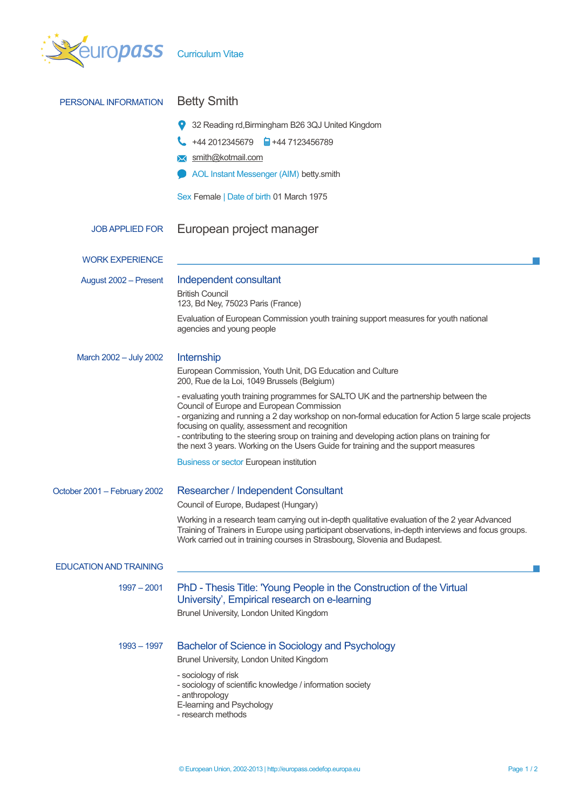